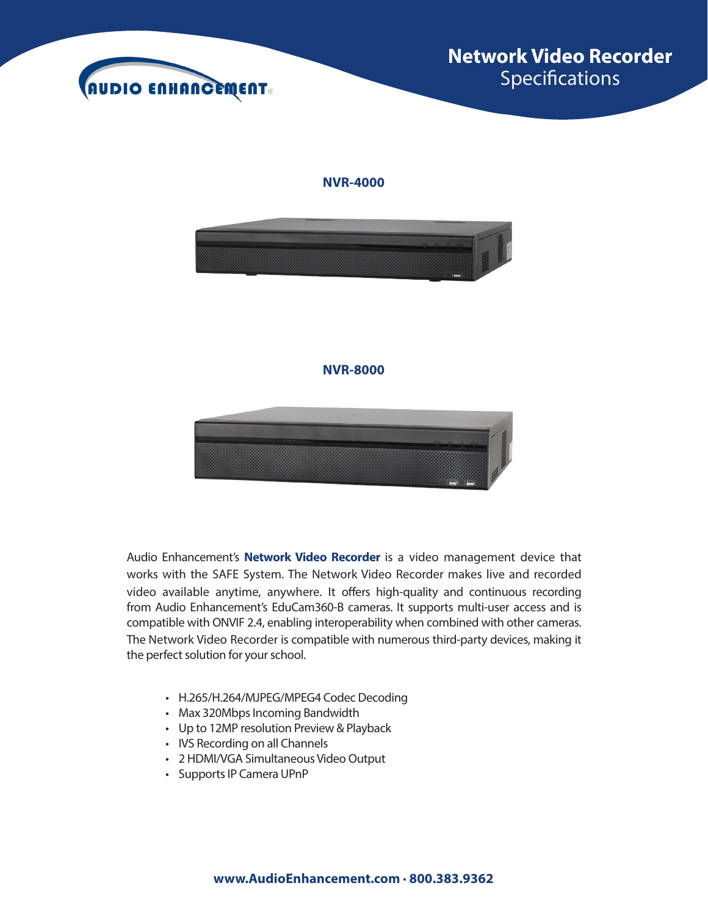



Audio Enhancement's **Network Video Recorder** is a video management device that works with the SAFE System. The Network Video Recorder makes live and recorded video available anytime, anywhere. It offers high-quality and continuous recording from Audio Enhancement's EduCam360-B cameras. It supports multi-user access and is compatible with ONVIF 2.4, enabling interoperability when combined with other cameras. The Network Video Recorder is compatible with numerous third-party devices, making it the perfect solution for your school.

- H.265/H.264/MJPEG/MPEG4 Codec Decoding
- Max 320Mbps Incoming Bandwidth
- Up to 12MP resolution Preview & Playback
- IVS Recording on all Channels
- 2 HDMI/VGA Simultaneous Video Output
- Supports IP Camera UPnP